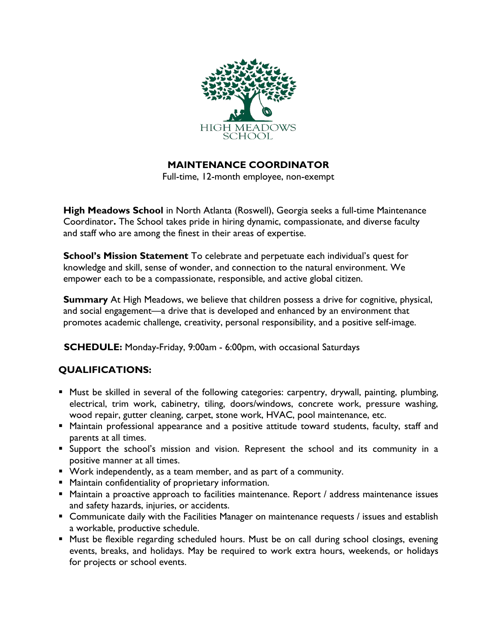

**MAINTENANCE COORDINATOR**

Full-time, 12-month employee, non-exempt

**High Meadows School** in North Atlanta (Roswell), Georgia seeks a full-time Maintenance Coordinator**.** The School takes pride in hiring dynamic, compassionate, and diverse faculty and staff who are among the finest in their areas of expertise.

**School's Mission Statement** To celebrate and perpetuate each individual's quest for knowledge and skill, sense of wonder, and connection to the natural environment. We empower each to be a compassionate, responsible, and active global citizen.

**Summary** At High Meadows, we believe that children possess a drive for cognitive, physical, and social engagement—a drive that is developed and enhanced by an environment that promotes academic challenge, creativity, personal responsibility, and a positive self-image.

 **SCHEDULE:** Monday-Friday, 9:00am - 6:00pm, with occasional Saturdays

# **QUALIFICATIONS:**

- Must be skilled in several of the following categories: carpentry, drywall, painting, plumbing, electrical, trim work, cabinetry, tiling, doors/windows, concrete work, pressure washing, wood repair, gutter cleaning, carpet, stone work, HVAC, pool maintenance, etc.
- **E** Maintain professional appearance and a positive attitude toward students, faculty, staff and parents at all times.
- Support the school's mission and vision. Represent the school and its community in a positive manner at all times.
- Work independently, as a team member, and as part of a community.
- Maintain confidentiality of proprietary information.
- Maintain a proactive approach to facilities maintenance. Report / address maintenance issues and safety hazards, injuries, or accidents.
- Communicate daily with the Facilities Manager on maintenance requests / issues and establish a workable, productive schedule.
- Must be flexible regarding scheduled hours. Must be on call during school closings, evening events, breaks, and holidays. May be required to work extra hours, weekends, or holidays for projects or school events.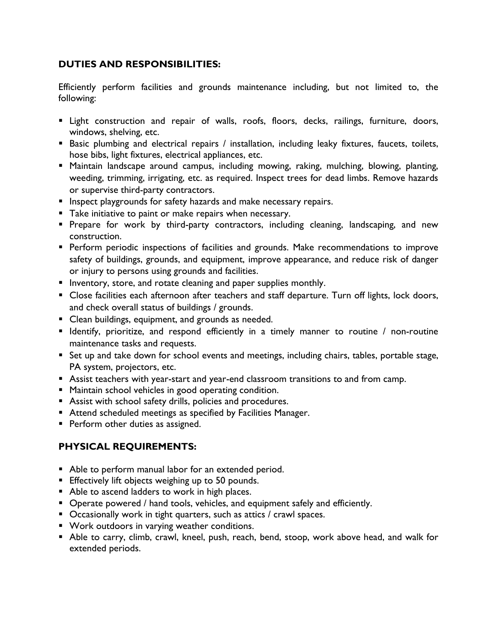#### **DUTIES AND RESPONSIBILITIES:**

Efficiently perform facilities and grounds maintenance including, but not limited to, the following:

- **Example 1** Light construction and repair of walls, roofs, floors, decks, railings, furniture, doors, windows, shelving, etc.
- Basic plumbing and electrical repairs / installation, including leaky fixtures, faucets, toilets, hose bibs, light fixtures, electrical appliances, etc.
- **E** Maintain landscape around campus, including mowing, raking, mulching, blowing, planting, weeding, trimming, irrigating, etc. as required. Inspect trees for dead limbs. Remove hazards or supervise third-party contractors.
- **E** Inspect playgrounds for safety hazards and make necessary repairs.
- Take initiative to paint or make repairs when necessary.
- **·** Prepare for work by third-party contractors, including cleaning, landscaping, and new construction.
- **•** Perform periodic inspections of facilities and grounds. Make recommendations to improve safety of buildings, grounds, and equipment, improve appearance, and reduce risk of danger or injury to persons using grounds and facilities.
- **E** Inventory, store, and rotate cleaning and paper supplies monthly.
- Close facilities each afternoon after teachers and staff departure. Turn off lights, lock doors, and check overall status of buildings / grounds.
- **E** Clean buildings, equipment, and grounds as needed.
- **E** Identify, prioritize, and respond efficiently in a timely manner to routine / non-routine maintenance tasks and requests.
- Set up and take down for school events and meetings, including chairs, tables, portable stage, PA system, projectors, etc.
- Assist teachers with year-start and year-end classroom transitions to and from camp.
- Maintain school vehicles in good operating condition.
- Assist with school safety drills, policies and procedures.
- Attend scheduled meetings as specified by Facilities Manager.
- **•** Perform other duties as assigned.

# **PHYSICAL REQUIREMENTS:**

- Able to perform manual labor for an extended period.
- **Effectively lift objects weighing up to 50 pounds.**
- Able to ascend ladders to work in high places.
- Operate powered / hand tools, vehicles, and equipment safely and efficiently.
- Occasionally work in tight quarters, such as attics / crawl spaces.
- Work outdoors in varying weather conditions.
- Able to carry, climb, crawl, kneel, push, reach, bend, stoop, work above head, and walk for extended periods.